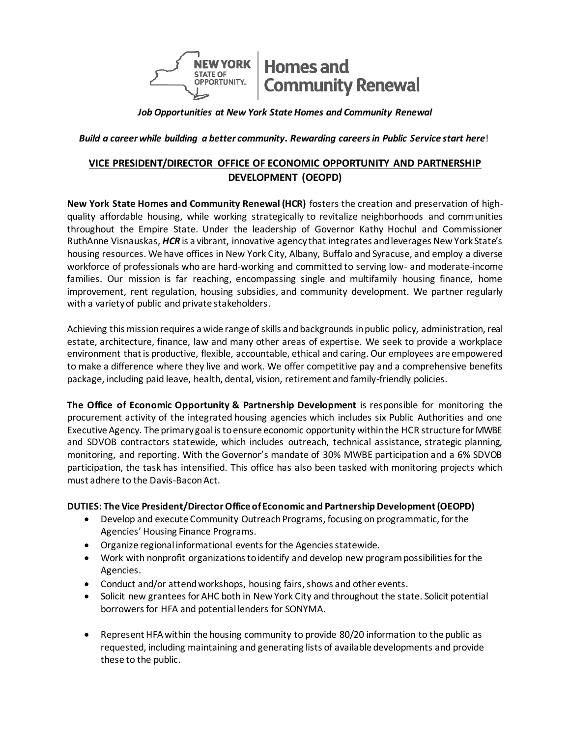

*Job Opportunities at New York State Homes and Community Renewal*

 *Build a career while building a better community. Rewarding careers in Public Service start here*!

# **VICE PRESIDENT/DIRECTOR OFFICE OF ECONOMIC OPPORTUNITY AND PARTNERSHIP DEVELOPMENT (OEOPD)**

**New York State Homes and Community Renewal (HCR)** fosters the creation and preservation of highquality affordable housing, while working strategically to revitalize neighborhoods and communities throughout the Empire State. Under the leadership of Governor Kathy Hochul and Commissioner RuthAnne Visnauskas, *HCR* is a vibrant, innovative agency that integrates and leverages New York State's housing resources. We have offices in New York City, Albany, Buffalo and Syracuse, and employ a diverse workforce of professionals who are hard-working and committed to serving low- and moderate-income families. Our mission is far reaching, encompassing single and multifamily housing finance, home improvement, rent regulation, housing subsidies, and community development. We partner regularly with a variety of public and private stakeholders.

Achieving this mission requires a wide range of skills and backgrounds in public policy, administration, real estate, architecture, finance, law and many other areas of expertise. We seek to provide a workplace environment that is productive, flexible, accountable, ethical and caring. Our employees are empowered to make a difference where they live and work. We offer competitive pay and a comprehensive benefits package, including paid leave, health, dental, vision, retirement and family-friendly policies.

**The Office of Economic Opportunity & Partnership Development** is responsible for monitoring the procurement activity of the integrated housing agencies which includes six Public Authorities and one Executive Agency. The primary goal is to ensure economic opportunity within the HCR structure for MWBE and SDVOB contractors statewide, which includes outreach, technical assistance, strategic planning, monitoring, and reporting. With the Governor's mandate of 30% MWBE participation and a 6% SDVOB participation, the task has intensified. This office has also been tasked with monitoring projects which must adhere to the Davis-Bacon Act.

#### **DUTIES: The Vice President/Director Office of Economic and Partnership Development (OEOPD)**

- Develop and execute Community Outreach Programs, focusing on programmatic, for the Agencies' Housing Finance Programs.
- Organize regional informational events for the Agencies statewide.
- Work with nonprofit organizations to identify and develop new program possibilities for the Agencies.
- Conduct and/or attend workshops, housing fairs, shows and other events.
- Solicit new grantees for AHC both in New York City and throughout the state. Solicit potential borrowers for HFA and potential lenders for SONYMA.
- Represent HFA within the housing community to provide 80/20 information to the public as requested, including maintaining and generating lists of available developments and provide these to the public.